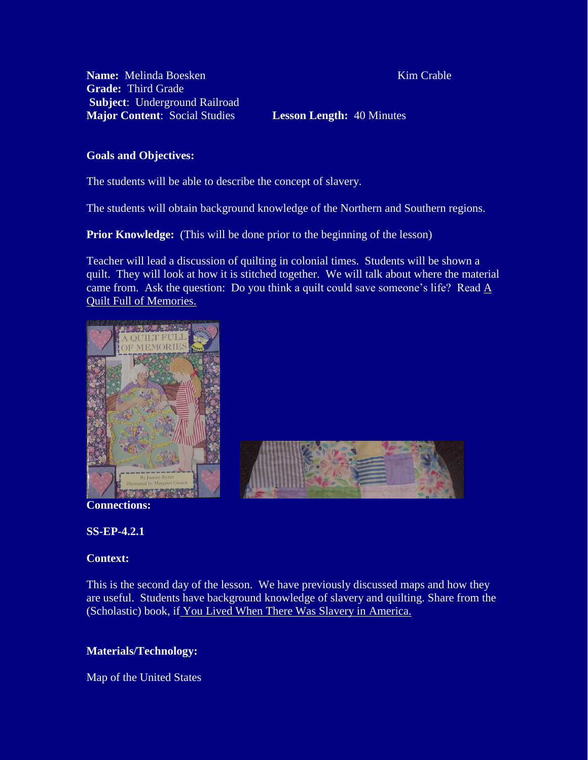**Name:** Melinda Boesken Kim Crable **Grade:** Third Grade **Subject**: Underground Railroad **Major Content**: Social Studies **Lesson Length:** 40 Minutes

## **Goals and Objectives:**

The students will be able to describe the concept of slavery.

I

The students will obtain background knowledge of the Northern and Southern regions.

**Prior Knowledge:** (This will be done prior to the beginning of the lesson)

Teacher will lead a discussion of quilting in colonial times. Students will be shown a quilt. They will look at how it is stitched together. We will talk about where the material came from. Ask the question: Do you think a quilt could save someone's life? Read  $\underline{A}$ Quilt Full of Memories.





**Connections:**

**SS-EP-4.2.1**

## **Context:**

This is the second day of the lesson. We have previously discussed maps and how they are useful. Students have background knowledge of slavery and quilting. Share from the (Scholastic) book, if You Lived When There Was Slavery in America.

# **Materials/Technology:**

Map of the United States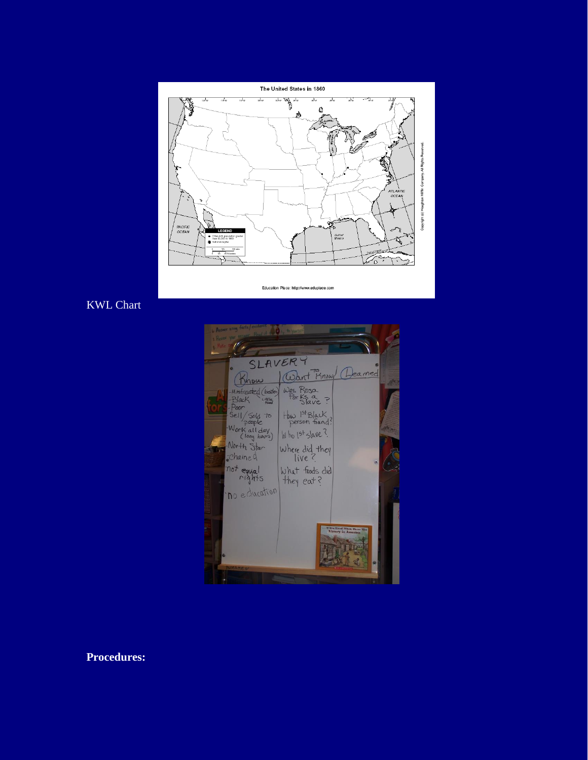

Education Place: http://www.eduplace.com

### KWL Chart



**Procedures:**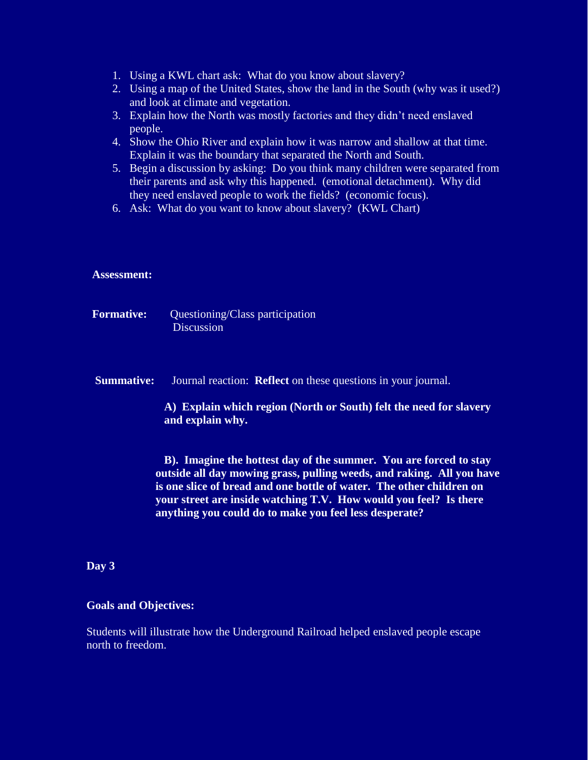- 1. Using a KWL chart ask: What do you know about slavery?
- 2. Using a map of the United States, show the land in the South (why was it used?) and look at climate and vegetation.
- 3. Explain how the North was mostly factories and they didn't need enslaved people.
- 4. Show the Ohio River and explain how it was narrow and shallow at that time. Explain it was the boundary that separated the North and South.
- 5. Begin a discussion by asking: Do you think many children were separated from their parents and ask why this happened. (emotional detachment). Why did they need enslaved people to work the fields? (economic focus).
- 6. Ask: What do you want to know about slavery? (KWL Chart)

### **Assessment:**

- **Formative:** Questioning/Class participation **Discussion**
- **Summative:** Journal reaction: **Reflect** on these questions in your journal.

**A) Explain which region (North or South) felt the need for slavery and explain why.**

 **B). Imagine the hottest day of the summer. You are forced to stay outside all day mowing grass, pulling weeds, and raking. All you have is one slice of bread and one bottle of water. The other children on your street are inside watching T.V. How would you feel? Is there anything you could do to make you feel less desperate?**

## **Day 3**

#### **Goals and Objectives:**

Students will illustrate how the Underground Railroad helped enslaved people escape north to freedom.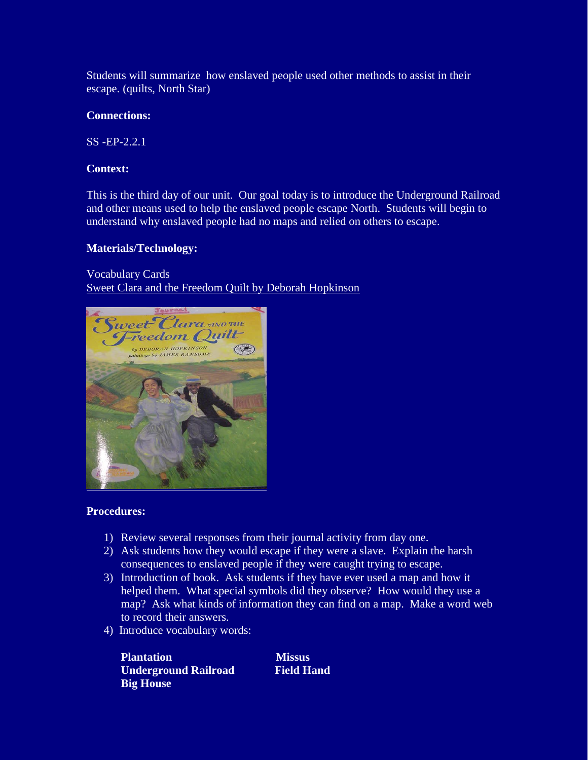Students will summarize how enslaved people used other methods to assist in their escape. (quilts, North Star)

# **Connections:**

SS -EP-2.2.1

# **Context:**

This is the third day of our unit. Our goal today is to introduce the Underground Railroad and other means used to help the enslaved people escape North. Students will begin to understand why enslaved people had no maps and relied on others to escape.

## **Materials/Technology:**

Vocabulary Cards Sweet Clara and the Freedom Quilt by Deborah Hopkinson



## **Procedures:**

- 1) Review several responses from their journal activity from day one.
- 2) Ask students how they would escape if they were a slave. Explain the harsh consequences to enslaved people if they were caught trying to escape.
- 3) Introduction of book. Ask students if they have ever used a map and how it helped them. What special symbols did they observe? How would they use a map? Ask what kinds of information they can find on a map. Make a word web to record their answers.
- 4) Introduce vocabulary words:

*Plantation* Missus **Underground Railroad Field Hand Big House**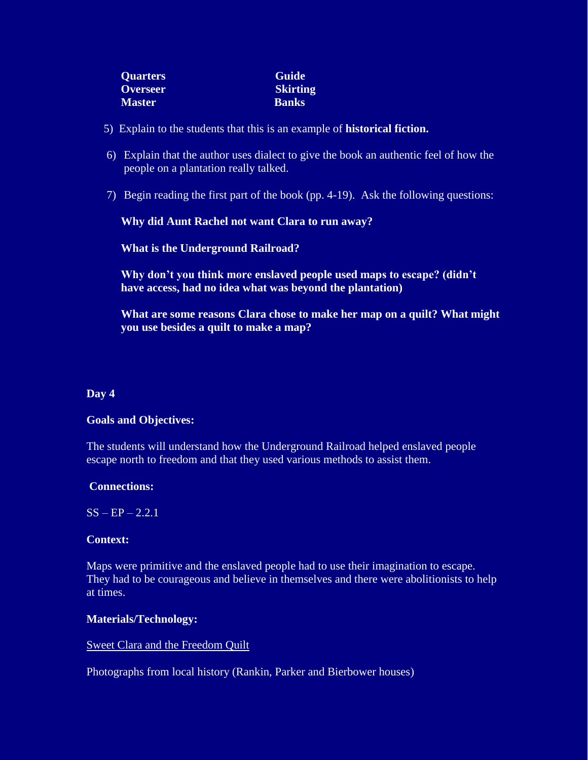| <b>Quarters</b> | <b>Guide</b>    |
|-----------------|-----------------|
| <b>Overseer</b> | <b>Skirting</b> |
| <b>Master</b>   | <b>Banks</b>    |

- 5) Explain to the students that this is an example of **historical fiction.**
- 6) Explain that the author uses dialect to give the book an authentic feel of how the people on a plantation really talked.
- 7) Begin reading the first part of the book (pp. 4-19). Ask the following questions:

**Why did Aunt Rachel not want Clara to run away?**

**What is the Underground Railroad?**

**Why don't you think more enslaved people used maps to escape? (didn't have access, had no idea what was beyond the plantation)**

**What are some reasons Clara chose to make her map on a quilt? What might you use besides a quilt to make a map?**

#### **Day 4**

#### **Goals and Objectives:**

The students will understand how the Underground Railroad helped enslaved people escape north to freedom and that they used various methods to assist them.

#### **Connections:**

 $SS - EP - 2.2.1$ 

#### **Context:**

Maps were primitive and the enslaved people had to use their imagination to escape. They had to be courageous and believe in themselves and there were abolitionists to help at times.

## **Materials/Technology:**

#### Sweet Clara and the Freedom Quilt

Photographs from local history (Rankin, Parker and Bierbower houses)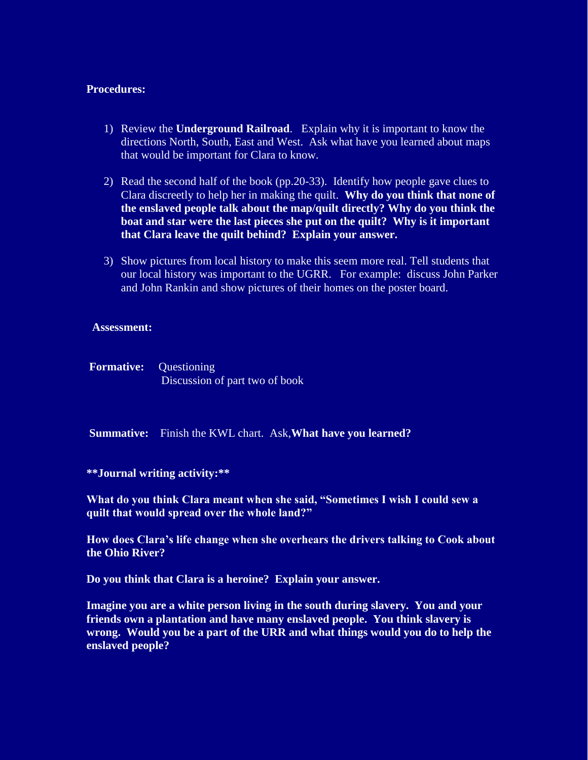## **Procedures:**

- 1) Review the **Underground Railroad**. Explain why it is important to know the directions North, South, East and West. Ask what have you learned about maps that would be important for Clara to know.
- 2) Read the second half of the book (pp.20-33). Identify how people gave clues to Clara discreetly to help her in making the quilt. **Why do you think that none of the enslaved people talk about the map/quilt directly? Why do you think the boat and star were the last pieces she put on the quilt? Why is it important that Clara leave the quilt behind? Explain your answer.**
- 3) Show pictures from local history to make this seem more real. Tell students that our local history was important to the UGRR. For example: discuss John Parker and John Rankin and show pictures of their homes on the poster board.

#### **Assessment:**

**Formative:** Ouestioning Discussion of part two of book

**Summative:** Finish the KWL chart. Ask,**What have you learned?**

#### **\*\*Journal writing activity:\*\***

**What do you think Clara meant when she said, "Sometimes I wish I could sew a quilt that would spread over the whole land?"**

**How does Clara's life change when she overhears the drivers talking to Cook about the Ohio River?**

**Do you think that Clara is a heroine? Explain your answer.**

**Imagine you are a white person living in the south during slavery. You and your friends own a plantation and have many enslaved people. You think slavery is wrong. Would you be a part of the URR and what things would you do to help the enslaved people?**